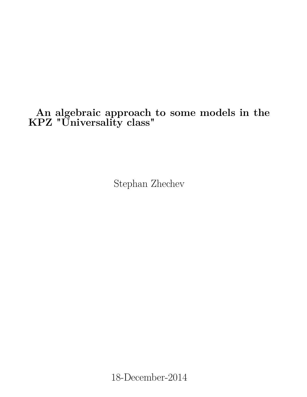# **An algebraic approach to some models in the KPZ "Universality class"**

Stephan Zhechev

18-December-2014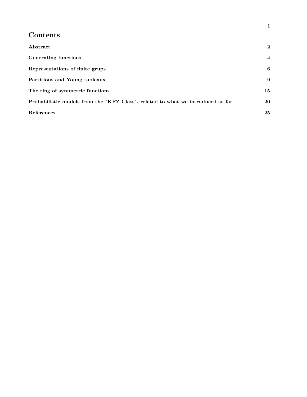| Contents |
|----------|
|----------|

| Abstract                                                                        | $\bf{2}$                |
|---------------------------------------------------------------------------------|-------------------------|
| Generating functions                                                            | $\overline{\mathbf{4}}$ |
| Representations of finite grups                                                 | 6                       |
| Partitions and Young tableaux                                                   | 9                       |
| The ring of symmetric functions                                                 | 15                      |
| Probabilistic models from the "KPZ Class", related to what we introduced so far | 20                      |
| References                                                                      | 25                      |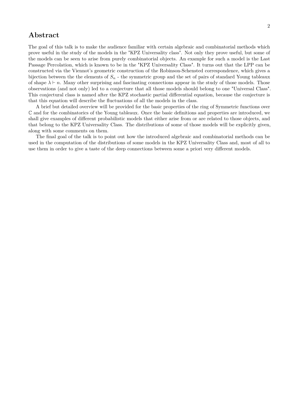# **Abstract**

The goal of this talk is to make the audience familiar with certain algebraic and combinatorial methods which prove useful in the study of the models in the "KPZ Universality class". Not only they prove useful, but some of the models can be seen to arise from purely combinatorial objects. An example for such a model is the Last Passage Percolation, which is known to be in the "KPZ Universality Class". It turns out that the LPP can be constructed via the Viennot's geometric construction of the Robinson-Schensted correspondence, which gives a bijection between the the elements of  $S_n$  - the symmetric group and the set of pairs of standard Young tableaux of shape  $\lambda \vdash n$ . Many other surprising and fascinating connections appear in the study of those models. Those observations (and not only) led to a conjecture that all those models should belong to one "Universal Class". This conjectural class is named after the KPZ stochastic partial differential equation, because the conjecture is that this equation will describe the fluctuations of all the models in the class.

A brief but detailed overview will be provided for the basic properties of the ring of Symmetric functions over C and for the combinatorics of the Young tableaux. Once the basic definitions and properties are introduced, we shall give examples of different probabilistic models that either arise from or are related to those objects, and that belong to the KPZ Universality Class. The distributions of some of those models will be explicitly given, along with some comments on them.

The final goal of the talk is to point out how the introduced algebraic and combinatorial methods can be used in the computation of the distributions of some models in the KPZ Universality Class and, most of all to use them in order to give a taste of the deep connections between some a priori very different models.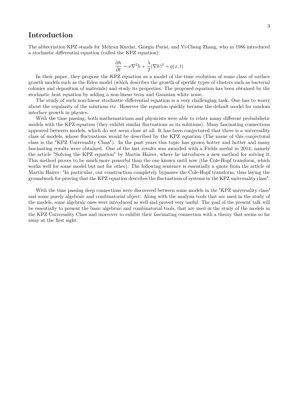# **Introduction**

The abbreviation KPZ stands for Mehran Kardar, Giorgio Parisi, and Yi-Cheng Zhang, who in 1986 introduced a stochastic differential equation (called the KPZ equation):

$$
\frac{\partial h}{\partial t} = \nu \nabla^2 h + \frac{\lambda}{2} (\nabla h)^2 + \eta(x, t)
$$

In their paper, they propose the KPZ equation as a model of the time evolution of some class of surface growth models such as the Eden model (which describes the growth of specific types of clusters such as bacterial colonies and deposition of materials) and study its properties. The proposed equation has been obtained by the stochastic heat equation by adding a non-linear term and Gaussian white noise.

The study of such non-linear stochastic differential equation is a very challenging task. One has to worry about the regularity of the solutions etc. However the equation quickly became the default model for random interface growth in physics.

With the time passing, both mathematicians and physicists were able to relate many different probabilistic models with the KPZ equation (they exhibit similar fluctuations as its solutions). Many fascinating connections appeared between models, which do not seem close at all. It has been conjectured that there is a universality class of models, whose fluctuations would be described by the KPZ equation (The name of this conjectural class is the "KPZ Universality Class"). In the past years this topic has grown hotter and hotter and many fascinating results were obtained. One of the last results was awarded with a Fields medal in 2014, namely the article "Solving the KPZ equation" by Martin Hairer, where he introduces a new method for solving it. This method proves to be much more powerful than the one known until now (the Cole-Hopf transform, which works well for some model but not for other). The following sentence is essentially a quote from the article of Martin Hairer: "In particular, our construction completely bypasses the Cole-Hopf transform, thus laying the groundwork for proving that the KPZ equation describes the fluctuations of systems in the KPZ universality class".

With the time passing deep connections were discovered between some models in the "KPZ universality class" and some purely algebraic and combinatorial object. Along with the analysis tools that are used in the study of the models, some algebraic ones were introduced as well and proved very useful. The goal of the present talk will be essentially to present the basic algebraic and combinatorial tools, that are used in the study of the models in the KPZ Universality Class and moreover to exhibit their fascinating connection with a theory that seems so far away at the first sight.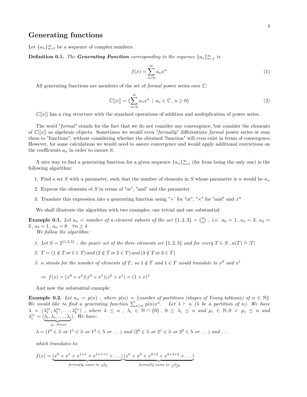# **Generating functions**

Let  ${a_n}_{n=1}^{\infty}$  be a sequence of complex numbers.

**Definition 0.1.** *The Generating Function corresponding to the sequence*  $\{a_n\}_{n=1}^{\infty}$  *is* 

$$
f(x) = \sum_{n=0}^{\infty} a_n x^n
$$
 (1)

All generating functions are members of the set of *formal* power series over C:

$$
\mathbb{C}[[x]] = \left\{ \sum_{n=0}^{\infty} a_n x^n \mid a_n \in \mathbb{C}, n \ge 0 \right\}
$$
 (2)

 $\mathbb{C}[[x]]$  has a ring structure with the standard operations of addition and multiplication of power series.

The word "*formal*" stands for the fact that we do not consider any convergence, but consider the elements of C[[*x*]] as algebraic objects. Sometimes we would even "*formally*" differentiate *formal* power series or sum them to "functions", without considering whether the obtained "function" will even exist in terms of convergence. However, for some calculations we would need to assure convergence and would apply additional restrictions on the coefficients  $a_n$  in order to ensure it.

A nice way to find a generating function for a given sequence  $\{a_n\}_{n=1}^{\infty}$  (far from being the only one) is the following algorithm:

- 1. Find a set *S* with a parameter, such that the number of elements in *S* whose parameter is *n* would be *a<sup>n</sup>*
- 2. Express the elements of *S* in terms of "or", "and" and the parameter
- 3. Translate this expression into a generating function using "+' for "or", " $\times$ " for "and" and  $x^n$

We shall illustrate the algorithm with two examples, one trivial and one substantial:

**Example 0.1.** Let  $a_n = number of n-element subsets of the set  $\{1, 2, 3\} = {3 \choose n}$ , i.e.  $a_0 = 1$ ,  $a_1 = 3$ ,  $a_2 =$$ 3,  $a_3 = 1$ ,  $a_n = 0 \quad \forall n \ge 4$ 

*We follow the algorithm:*

- *1.* Let  $S = 2^{\{1,2,3\}}$   *the power set of the three elements set*  $\{1,2,3\}$  *and for every*  $T \in S$ ,  $n(T) \triangleq |T|$
- *2.*  $T = (1 \notin T \text{ or } 1 \in T) \text{ and } (2 \notin T \text{ or } 2 \in T) \text{ and } (3 \notin T \text{ or } 3 \in T)$
- *3. n stands for the number of elements of T*, so  $1 \notin T$  *and*  $1 \in T$  *would translate to*  $x^0$  *and*  $x^1$

$$
\Rightarrow f(x) = (x^0 + x^1)(x^0 + x^1)(x^0 + x^1) = (1+x)^3
$$

And now the substantial example:

**Example 0.2.** Let  $a_n = p(n)$ , where  $p(n) = \{number\ of\ partitions\ (shapes\ of\ Young\ tableau\) of\ n \in \mathbb{N}\}.$ We would like to find a generating function  $\sum_{n\geq 0} p(n)x^n$ . Let  $\lambda \vdash n$  ( $\lambda$  be a partition of *n*). We have  $\lambda = (\lambda_1^{\mu_1}, \lambda_2^{\mu_2}, \ldots, \lambda_k^{\mu_k})$ , where  $k \leq n$ ,  $\lambda_i \in \mathbb{N} \cap \{0\}$ ,  $0 \leq \lambda_i \leq n$  and  $\mu_i \in \mathbb{N}, 0 < \mu_i \leq n$  and  $\lambda_i^{\mu_i} = (\lambda_i, \lambda_i, \ldots, \lambda_i)$  $\mu_i$  *times* )*. We have:*

$$
\lambda = (1^0 \in \lambda \text{ or } 1^1 \in \lambda \text{ or } 1^2 \in \lambda \text{ or } \dots) \text{ and } (2^0 \in \lambda \text{ or } 2^1 \in \lambda \text{ or } 2^2 \in \lambda \text{ or } \dots) \text{ and } \dots
$$

*which translates to:*

$$
f(x) = \underbrace{(x^0 + x^1 + x^{1+1} + x^{1+1+1} + \dots)}_{formula \; sums \; to \; \frac{1}{1-x}} \underbrace{(x^0 + x^2 + x^{2+2} + x^{2+2+2} + \dots)}_{formula \; sums \; to \; \frac{1}{1-x^2}}
$$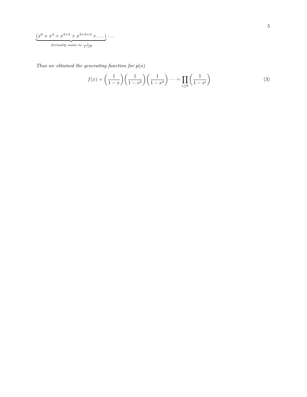$$
\underbrace{(x^0+x^3+x^{3+3}+x^{3+3+3}+\dots)}_{formally sums to \frac{1}{1-x^3}}\cdots
$$

*Thus we obtained the generating function for*  $p(n)$ 

$$
f(x) = \left(\frac{1}{1-x}\right)\left(\frac{1}{1-x^2}\right)\left(\frac{1}{1-x^3}\right)\dots = \prod_{i\geq 0}\left(\frac{1}{1-x^i}\right)
$$
(3)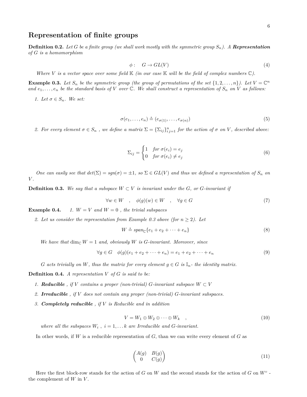# **Representation of finite groups**

**Definition 0.2.** Let *G* be a finite group (we shall work mostly with the symmetric group  $S_n$ ). A **Representation** *of G is a homomorphism*

$$
\phi: G \to GL(V) \tag{4}
$$

*Where V is a vector space over some field*  $K$  *(in our case*  $K$  *will be the field of complex numbers*  $C$ *).* 

**Example 0.3.** Let  $S_n$  be the symmetric group (the group of permutations of the set  $\{1, 2, \ldots, n\}$ ). Let  $V = \mathbb{C}^n$ *and*  $e_1, \ldots, e_n$  *be the standard basis of V over* C. We shall construct a representation of  $S_n$  *on V as follows:* 

*1.* Let  $\sigma \in S_n$ *. We set:* 

$$
\sigma(e_1, \ldots, e_n) \triangleq (e_{\sigma(1)}, \ldots, e_{\sigma(n)})
$$
\n<sup>(5)</sup>

2. For every element  $\sigma \in S_n$ , we define a matrix  $\Sigma = {\sum_{ij}}_{i,j=1}^n$  for the action of  $\sigma$  on V, described above:

$$
\Sigma_{ij} = \begin{cases} 1 & \text{for } \sigma(e_i) = e_j \\ 0 & \text{for } \sigma(e_i) \neq e_j \end{cases}
$$
 (6)

*One can easily see that*  $det(\Sigma) = sgn(\sigma) = \pm 1$ , so  $\Sigma \in GL(V)$  and thus we defined a representation of  $S_n$  on *V .*

**Definition 0.3.** We say that a subspace  $W \subset V$  is invariant under the  $G$ , or  $G$ -invariant if

$$
\forall w \in W \quad , \quad \phi(g)(w) \in W \quad , \quad \forall g \in G \tag{7}
$$

**Example 0.4.** *1.*  $W = V$  *and*  $W = 0$ , *the trivial subspaces* 

2. Let us consider the representation from Example 0.3 above (for  $n \geq 2$ ). Let

$$
W \stackrel{\circ}{=} span_{\mathbb{C}} \{e_1 + e_2 + \dots + e_n\} \tag{8}
$$

*We have that*  $\dim_{\mathbb{C}} W = 1$  *and, obviously W is G-invariant. Moreover, since* 

$$
\forall g \in G \quad \phi(g)(e_1 + e_2 + \dots + e_n) = e_1 + e_2 + \dots + e_n \tag{9}
$$

*G* acts trivially on *W*, thus the matrix for every element  $g \in G$  is  $\mathbb{I}_n$ - the identity matrix.

**Definition 0.4.** *A representation V of G is said to be:*

- 1. **Reducible**, if V contains a proper (non-trivial) *G*-invariant subspace  $W \subset V$
- *2. Irreducible , if V does not contain any proper (non-trivial) G-invariant subspaces.*
- *3. Completely reducible , if V is Reducible and in addition*

$$
V = W_1 \oplus W_2 \oplus \cdots \oplus W_k \quad , \tag{10}
$$

*where all the subspaces*  $W_i$ ,  $i = 1, \ldots k$  *are Irreducible and G-invariant.* 

In other words, if *W* is a reducible representation of *G*, than we can write every element of *G* as

$$
\begin{pmatrix}\nA(g) & B(g) \\
0 & C(g)\n\end{pmatrix}
$$
\n(11)

Here the first block-row stands for the action of *G* on *W* and the second stands for the action of *G* on *W<sup>c</sup>* the complement of *W* in *V* .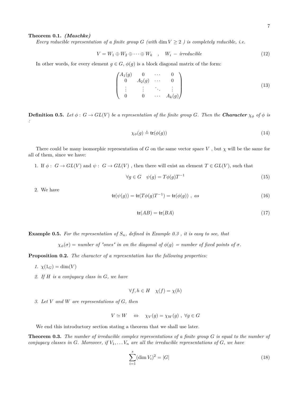#### **Theorem 0.1.** *(Maschke)*

*Every reducible representation of a finite group G* (with dim  $V \geq 2$ ) is completely reducible, i.e.

$$
V = W_1 \oplus W_2 \oplus \cdots \oplus W_k \quad , \quad W_i - irreducible \tag{12}
$$

In other words, for every element  $g \in G$ ,  $\phi(g)$  is a block diagonal matrix of the form:

$$
\begin{pmatrix}\nA_1(g) & 0 & \cdots & 0 \\
0 & A_2(g) & \cdots & 0 \\
\vdots & \vdots & \ddots & \vdots \\
0 & 0 & \cdots & A_k(g)\n\end{pmatrix}
$$
\n(13)

**Definition 0.5.** Let  $\phi$ :  $G \to GL(V)$  be a representation of the finite group *G*. Then the **Character**  $\chi_{\phi}$  of  $\phi$  is *:*

$$
\chi_{\phi}(g) \triangleq \text{tr}(\phi(g)) \tag{14}
$$

There could be many isomorphic representation of *G* on the same vector space *V*, but  $\chi$  will be the same for all of them, since we have:

1. If  $\phi: G \to GL(V)$  and  $\psi: G \to GL(V)$ , then there will exist an element  $T \in GL(V)$ , such that

$$
\forall g \in G \quad \psi(g) = T\phi(g)T^{-1} \tag{15}
$$

2. We have

$$
\operatorname{tr}(\psi(g)) = \operatorname{tr}(T\phi(g)T^{-1}) = \operatorname{tr}(\phi(g)), \quad as \tag{16}
$$

$$
tr(AB) = tr(BA)
$$
 (17)

**Example 0.5.** For the representation of  $S_n$ , defined in Example 0.3, it is easy to see, that

 $\chi_{\phi}(\sigma) =$  *number of "ones" in on the diagonal of*  $\phi(g) =$  *number of fixed points of*  $\sigma$ *.* 

**Proposition 0.2.** *The character of a representation has the following properties:*

- *1.*  $\chi(1_G) = \dim(V)$
- *2. If H is a conjugacy class in G, we have*

$$
\forall f, h \in H \quad \chi(f) = \chi(h)
$$

*3. Let V and W are representations of G, then*

$$
V \simeq W \quad \Leftrightarrow \quad \chi_V(g) = \chi_W(g) \; , \; \forall g \in G
$$

We end this introductory section stating a theorem that we shall use later.

**Theorem 0.3.** *The number of irreducible complex representations of a finite group G is equal to the number of conjugacy classes in*  $G$ *. Moreover, if*  $V_1, \ldots, V_n$  *are all the irreducible representations of*  $G$ *, we have* 

$$
\sum_{i=1}^{s} (\dim V_i)^2 = |G| \tag{18}
$$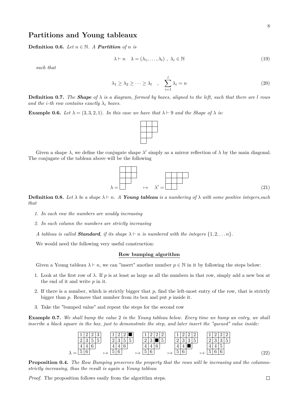## **Partitions and Young tableaux**

**Definition 0.6.** *Let*  $n \in \mathbb{N}$ *. A Partition of <i>n is* 

$$
\lambda \vdash n \quad \lambda = (\lambda_1, \dots, \lambda_l) \; , \; \lambda_i \in \mathbb{N} \tag{19}
$$

*such that*

$$
\lambda_1 \ge \lambda_2 \ge \dots \ge \lambda_l \quad , \quad \sum_{i=1}^l \lambda_i = n \tag{20}
$$

**Definition 0.7.** The **Shape** of  $\lambda$  is a diagram, formed by boxes, aligned to the left, such that there are *l* rows *and the i-th row contains exactly*  $\lambda_i$  *boxes.* 

**Example 0.6.** *Let*  $\lambda = (3, 3, 2, 1)$ *. In this case we have that*  $\lambda \vdash 9$  *and the Shape of*  $\lambda$  *is:* 

Given a shape  $\lambda$ , we define the conjugate shape  $\lambda'$  simply as a mirror reflection of  $\lambda$  by the main diagonal. The conjugate of the tableau above will be the following



**Definition 0.8.** Let  $\lambda$  be a shape  $\lambda \vdash n$ . A Young tableau is a numbering of  $\lambda$  with some positive integers, such *that*

*1. In each row the numbers are weakly increasing*

*2. In each column the numbers are strictly increasing*

*A tableau is called Standard, if its shape*  $\lambda \vdash n$  *is numbered with the integers*  $\{1, 2, \ldots n\}$ *.* 

We would need the following very useful construction:

#### **Row bumping algorithm**

Given a Young tableau  $\lambda \vdash n$ , we can "insert" another number  $p \in \mathbb{N}$  in it by following the steps below:

- 1. Look at the first row of  $\lambda$ . If  $p$  is at least as large as all the numbers in that row, simply add a new box at the end of it and write *p* in it.
- 2. If there is a number, which is strictly bigger that *p*, find the left-most entry of the row, that is strictly bigger than *p*. Remove that number from its box and put *p* inside it.
- 3. Take the "bumped value" and repeat the steps for the second row

**Example 0.7.** *We shall bump the value* 2 *in the Young tableau below. Every time we bump an entry, we shall inscribe a black square in the box, just to demonstrate the step, and later insert the "queued" value inside:*



**Proposition 0.4.** *The Row Bumping preserves the property that the rows will be increasing and the columnsstrictly increasing, thus the result is again a Young tableau*

*Proof.* The proposition follows easily from the algorithm steps.

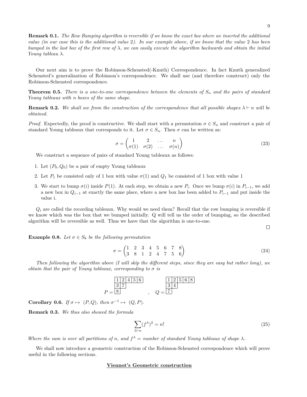9

**Remark 0.1.** *The Row Bumping algorithm is reversible if we know the exact box where we inserted the additional value (in our case this is the additional value* 2*). In our example above, if we know that the value* 2 *has been bumped in the last box of the first row of λ, we can easily execute the algorithm backwards and obtain the initial Young tableau λ.*

Our next aim is to prove the Robinson-Schensted(-Knuth) Correspondence. In fact Knuth generalized Schensted's generalization of Robinson's correspondence. We shall use (and therefore construct) only the Robinson-Schensted correspondence.

**Theorem 0.5.** *There is a one-to-one correspondence between the elements of S<sup>n</sup> and the pairs of standard Young tableaux with n boxes of the same shape.*

**Remark 0.2.** We shall see from the construction of the correspondence that all possible shapes  $\lambda \vdash n$  will be *obtained.*

*Proof.* Expectedly, the proof is constructive. We shall start with a permutation  $\sigma \in S_n$  and construct a pair of standard Young tableaux that corresponds to it. Let  $\sigma \in S_n$ . Then  $\sigma$  can be written as:

$$
\sigma = \begin{pmatrix} 1 & 2 & \dots & n \\ \sigma(1) & \sigma(2) & \dots & \sigma(n) \end{pmatrix}
$$
 (23)

We construct a sequence of pairs of standard Young tableaux as follows:

- 1. Let  $(P_0, Q_0)$  be a pair of empty Young tableaux
- 2. Let  $P_1$  be consisted only of 1 box with value  $\sigma(1)$  and  $Q_1$  be consisted of 1 box with value 1
- 3. We start to bump  $\sigma(i)$  inside  $P(1)$ . At each step, we obtain a new  $P_i$ . Once we bump  $\sigma(i)$  in  $P_{i-1}$ , we add a new box in *Qi*−<sup>1</sup> at exactly the same place, where a new box has been added to *Pi*−<sup>1</sup> and put inside the value i.

*Q<sup>i</sup>* are called the recording tableaux. Why would we need them? Recall that the row bumping is reversible if we know which was the box that we bumped initially. Q will tell us the order of bumping, so the described algorithm will be reversible as well. Thus we have that the algorithm is one-to-one.

 $\Box$ 

**Example 0.8.** *Let*  $\sigma \in S_8$  *be the following permutation* 

$$
\sigma = \begin{pmatrix} 1 & 2 & 3 & 4 & 5 & 6 & 7 & 8 \\ 3 & 8 & 1 & 2 & 4 & 7 & 5 & 6 \end{pmatrix} \tag{24}
$$

*Then following the algorithm above (I will skip the different steps, since they are easy but rather long), we obtain that the pair of Young tableaux, corresponding to*  $\sigma$  *is* 

$$
P = \frac{\begin{array}{|c|c|c|c|c|} \hline 1 & 2 & 4 & 5 & 6 \\ \hline 3 & 7 & & & \\ \hline 8 & & & & \\ \hline \end{array}}{\begin{array}{|c|c|c|c|c|} \hline 1 & 2 & 5 & 6 & 8 \\ \hline 3 & 4 & & \\ \hline \end{array}}
$$

**Corollary 0.6.** *If*  $\sigma \mapsto (P, Q)$ *, then*  $\sigma^{-1} \mapsto (Q, P)$ *.* 

**Remark 0.3.** *We thus also showed the formula*

$$
\sum_{\lambda \vdash n} (f^{\lambda})^2 = n! \tag{25}
$$

*Where the sum is over all partitions of n, and*  $f^{\lambda} =$  *number of standard Young tableaux of shape*  $\lambda$ *.* 

We shall now introduce a geometric construction of the Robinson-Schensted correspondence which will prove useful in the following sections.

#### **Viennot's Geometric construction**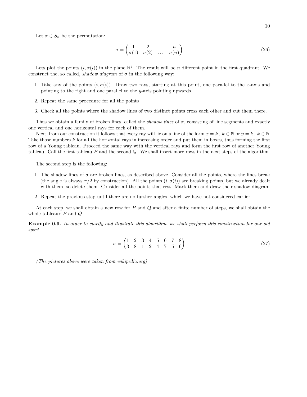Let  $\sigma \in S_n$  be the permutation:

$$
\sigma = \begin{pmatrix} 1 & 2 & \dots & n \\ \sigma(1) & \sigma(2) & \dots & \sigma(n) \end{pmatrix}
$$
 (26)

Lets plot the points  $(i, \sigma(i))$  in the plane  $\mathbb{R}^2$ . The result will be *n* different point in the first quadrant. We construct the, so called, *shadow diagram* of  $\sigma$  in the following way:

- 1. Take any of the points  $(i, \sigma(i))$ . Draw two rays, starting at this point, one parallel to the *x*-axis and pointing to the right and one parallel to the *y*-axis pointing upwards.
- 2. Repeat the same procedure for all the points
- 3. Check all the points where the shadow lines of two distinct points cross each other and cut them there.

Thus we obtain a family of broken lines, called the *shadow lines* of  $\sigma$ , consisting of line segments and exactly one vertical and one horizontal rays for each of them.

Next, from our construction it follows that every ray will lie on a line of the form  $x = k$ ,  $k \in \mathbb{N}$  or  $y = k$ ,  $k \in \mathbb{N}$ . Take those numbers *k* for all the horizontal rays in increasing order and put them in boxes, thus forming the first row of a Young tableau. Proceed the same way with the vertical rays and form the first row of another Young tableau. Call the first tableau *P* and the second *Q*. We shall insert more rows in the next steps of the algorithm.

The second step is the following:

- 1. The shadow lines of  $\sigma$  are broken lines, as described above. Consider all the points, where the lines break (the angle is always  $\pi/2$  by construction). All the points  $(i, \sigma(i))$  are breaking points, but we already dealt with them, so delete them. Consider all the points that rest. Mark them and draw their shadow diagram.
- 2. Repeat the previous step until there are no further angles, which we have not considered earlier.

At each step, we shall obtain a new row for *P* and *Q* and after a finite number of steps, we shall obtain the whole tableaux *P* and *Q*.

**Example 0.9.** *In order to clarify and illustrate this algorithm, we shall perform this construction for our old sport*

$$
\sigma = \begin{pmatrix} 1 & 2 & 3 & 4 & 5 & 6 & 7 & 8 \\ 3 & 8 & 1 & 2 & 4 & 7 & 5 & 6 \end{pmatrix}
$$
 (27)

*(The pictures above were taken from wikipedia.org)*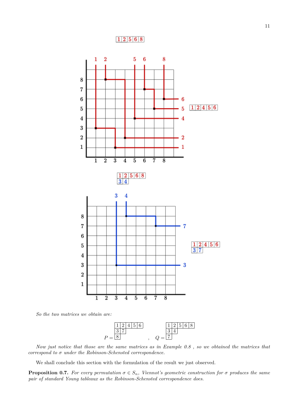

*So the two matrices we obtain are:*



*Now just notice that those are the same matrices as in Example 0.8 , so we obtained the matrices that correspond to σ under the Robinson-Schensted correspondence.*

We shall conclude this section with the formulation of the result we just observed.

**Proposition 0.7.** *For every permutation*  $\sigma \in S_n$ *, Viennot's geometric construction for*  $\sigma$  *produces the same pair of standard Young tableaux as the Robinson-Schensted correspondence does.*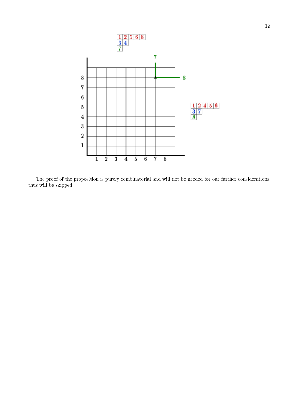

The proof of the proposition is purely combinatorial and will not be needed for our further considerations, thus will be skipped.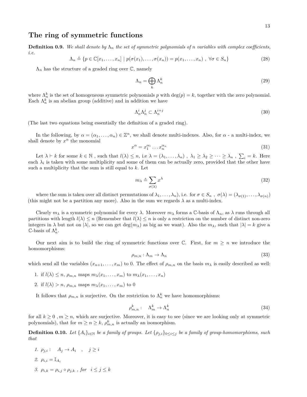### **The ring of symmetric functions**

**Definition 0.9.** *We shall denote by*  $\Lambda_n$  *the set of symmetric polynomials of n variables with complex coefficients, i.e.*

$$
\Lambda_n \triangleq \{ p \in \mathbb{C}[x_1, \dots, x_n] \mid p(\sigma(x_1), \dots, \sigma(x_n)) = p(x_1, \dots, x_n) \; , \; \forall \sigma \in S_n \}
$$
\n
$$
(28)
$$

 $\Lambda_n$  has the structure of a graded ring over  $\mathbb{C}$ , namely

$$
\Lambda_n = \bigoplus_k \Lambda_n^k \tag{29}
$$

where  $\Lambda_n^k$  is the set of homogeneous symmetric polynomials *p* with deg(*p*) = *k*, together with the zero polynomial. Each  $\Lambda_n^k$  is an abelian group (additive) and in addition we have

$$
\Lambda_n^i \Lambda_n^j \subset \Lambda_n^{i+j} \tag{30}
$$

(The last two equations being essentially the definition of a graded ring).

In the following, by  $\alpha = (\alpha_1, \dots, \alpha_n) \in \mathbb{Z}^n$ , we shall denote multi-indexes. Also, for  $\alpha$ -a multi-index, we shall denote by  $x^{\alpha}$  the monomial

$$
x^{\alpha} = x_1^{\alpha_1} \dots x_n^{\alpha_n} \tag{31}
$$

Let  $\lambda \vdash k$  for some  $k \in \mathbb{N}$ , such that  $l(\lambda) \leq n$ , i.e  $\lambda = (\lambda_1, \ldots, \lambda_n)$ ,  $\lambda_1 \geq \lambda_2 \geq \cdots \geq \lambda_n$ ,  $\sum_i = k$ . Here each  $\lambda_i$  is taken with some multiplicity and some of them can be actually zero, provided that the other have such a multiplicity that the sum is still equal to *k*. Let

$$
m_{\lambda} \stackrel{\circ}{=} \sum_{\sigma(\lambda)} x^{\lambda} \tag{32}
$$

where the sum is taken over all distinct permutations of  $\lambda_1, \ldots, \lambda_n$ , i.e. for  $\sigma \in S_n$ ,  $\sigma(\lambda) = (\lambda_{\sigma(1)}, \ldots, \lambda_{\sigma(n)})$ (this might not be a partition any more). Also in the sum we regards  $\lambda$  as a multi-index.

Clearly  $m_\lambda$  is a symmetric polynomial for every  $\lambda$ . Moreover  $m_\lambda$  forms a C-basis of  $\Lambda_n$ , as  $\lambda$  runs through all partitions with length  $l(\lambda) \leq n$  (Remember that  $l(\lambda) \leq n$  is only a restriction on the number of distinct non-zero integers in  $\lambda$  but not on  $|\lambda|$ , so we can get deg $(m_{\lambda})$  as big as we want). Also the  $m_{\lambda}$ , such that  $|\lambda| = k$  give a  $\mathbb{C}$ -basis of  $\Lambda_n^k$ .

Our next aim is to build the ring of symmetric functions over  $\mathbb{C}$ . First, for  $m \geq n$  we introduce the homomorphisms:

$$
\rho_{m,n} : \Lambda_m \to \Lambda_n \tag{33}
$$

which send all the variables  $(x_{n+1},...,x_m)$  to 0. The effect of  $\rho_{m,n}$  on the basis  $m_\lambda$  is easily described as well:

- 1. if  $l(\lambda) \leq n$ ,  $\rho_{m,n}$  maps  $m_{\lambda}(x_1, \ldots, x_m)$  to  $m_{\lambda}(x_1, \ldots, x_n)$
- 2. if  $l(\lambda) > n$ ,  $\rho_{m,n}$  maps  $m_{\lambda}(x_1, \ldots, x_m)$  to 0

It follows that  $\rho_{m,n}$  is surjective. On the restriction to  $\Lambda_n^k$  we have homomorphisms:

$$
\rho_{m,n}^k: \quad \Lambda_m^k \to \Lambda_n^k \tag{34}
$$

for all  $k \geq 0$ ,  $m \geq n$ , which are surjective. Moreover, it is easy to see (since we are looking only at symmetric polynomials), that for  $m \ge n \ge k$ ,  $\rho_{m,n}^k$  is actually an isomorphism.

**Definition 0.10.** Let  $\{A_i\}_{i\in\mathbb{N}}$  be a family of groups. Let  $\{\rho_{j,i}\}_{0\leq i\leq j}$  be a family of group-homomorphisms, such *that*

1.  $\rho_{j,i}: A_j \to A_i, j \geq i$ 2.  $\rho_{i,i} = \mathbb{I}_{A_i}$ *3.*  $ρ_{i,k} = ρ_{i,j} \circ ρ_{i,k}$ , for  $i ≤ j ≤ k$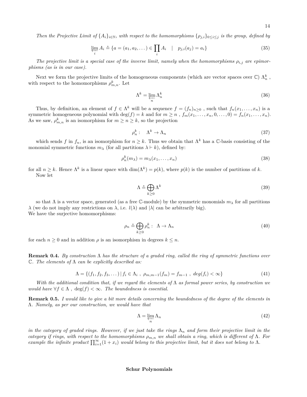*Then the Projective Limit of*  $\{A_i\}_{i\in\mathbb{N}}$ *, with respect to the homomorphisms*  $\{\rho_{j,i}\}_{0\leq i\leq j}$  *is the group, defined by* 

$$
\varprojlim_{i} A_{i} \triangleq \{ a = (a_{1}, a_{2}, \dots) \in \prod_{i} A_{i} \mid p_{j,i}(a_{j}) = a_{i} \}
$$
\n(35)

*The projective limit is a special case of the inverse limit, namely when the homomorphisms*  $\rho_{i,j}$  *are epimorphisms (as is in our case).*

Next we form the projective limits of the homogeneous components (which are vector spaces over  $\mathbb{C}$ )  $\Lambda_n^k$ , with respect to the homomorphisms  $\rho_{m,n}^k$ . Let

$$
\Lambda^k = \varprojlim_n \Lambda_n^k \tag{36}
$$

Thus, by definition, an element of  $f \in \Lambda^k$  will be a sequence  $f = (f_n)_{n \geq 0}$ , such that  $f_n(x_1, \ldots, x_n)$  is a symmetric homogeneous polynomial with  $\deg(f) = k$  and for  $m \ge n$ ,  $f_m(x_1, \ldots, x_n, 0, \ldots, 0) = f_n(x_1, \ldots, x_n)$ . As we saw,  $\rho_{m,n}^k$  is an isomorphism for  $m \geq n \geq k$ , so the projection

$$
\rho_n^k: \quad \Lambda^k \to \Lambda_n \tag{37}
$$

which sends *f* in  $f_n$ , is an isomorphism for  $n \geq k$ . Thus we obtain that  $\Lambda^k$  has a C-basis consisting of the monomial symmetric functions  $m_\lambda$  (for all partitions  $\lambda \vdash k$ ), defined by:

$$
\rho_n^k(m_\lambda) = m_\lambda(x_1, \dots, x_n) \tag{38}
$$

for all  $n \geq k$ . Hence  $\Lambda^k$  is a linear space with  $\dim(\Lambda^k) = p(k)$ , where  $p(k)$  is the number of partitions of k. Now let

$$
\Lambda \stackrel{\circ}{=} \bigoplus_{k \ge 0} \Lambda^k \tag{39}
$$

so that  $\Lambda$  is a vector space, generated (as a free C-module) by the symmetric monomials  $m_\lambda$  for all partitions *λ* (we do not imply any restrictions on *λ*, i.e.  $l(\lambda)$  and  $|\lambda|$  can be arbitrarily big). We have the surjective homomorphisms:

$$
\rho_n \triangleq \bigoplus_{k \geq 0} \rho_n^k : \ \Lambda \to \Lambda_n \tag{40}
$$

for each  $n \geq 0$  and in addition  $\rho$  is an isomorphism in degrees  $k \leq n$ .

**Remark 0.4.** *By construction* Λ *has the structure of a graded ring, called the ring of symmetric functions over* C*. The elements of* Λ *can be explicitly described as:*

$$
\Lambda = \{ (f_1, f_2, f_3, \dots) \mid f_i \in \Lambda_i , \ \rho_{m,m-1}(f_m) = f_{m-1} , \ deg(f_i) < \infty \} \tag{41}
$$

*With the additional condition that, if we regard the elements of* Λ *as formal power series, by construction we would have*  $\forall f \in \Lambda$ ,  $\deg(f) < \infty$ *. The boundedness is essential.* 

**Remark 0.5.** *I would like to give a bit more details concerning the boundedness of the degree of the elements in* Λ*. Namely, as per our construction, we would have that*

$$
\Lambda = \varprojlim_{n} \Lambda_{n} \tag{42}
$$

*in the category of graded rings. However, if we just take the rings*  $\Lambda_n$  *and form their projective limit in the category if rings, with respect to the homomorphisms*  $\rho_{m,n}$  *we shall obtain a ring, which is different of*  $\Lambda$ *. For example the infinite product*  $\prod_{i=1}^{\infty} (1 + x_i)$  *would belong to this projective limit, but it does not belong to* Λ.

#### **Schur Polynomials**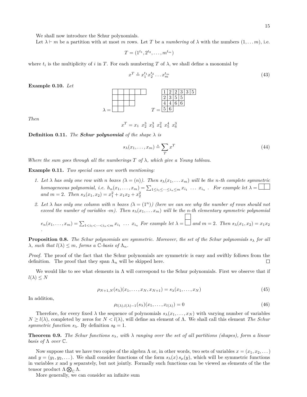We shall now introduce the Schur polynomials.

Let  $\lambda \vdash m$  be a partition with at most *m* rows. Let *T* be a *numbering* of  $\lambda$  with the numbers  $(1, \ldots, m)$ , i.e.

$$
T = (1^{t_1}, 2^{t_2}, \dots, m^{t_m})
$$

where  $t_i$  is the multiplicity of *i* in *T*. For each numbering *T* of  $\lambda$ , we shall define a monomial by

$$
x^T \stackrel{\circ}{=} x_1^{t_1} x_2^{t_2} \dots x_m^{t_m} \tag{43}
$$

**Example 0.10.** *Let*



*Then*

$$
x^T = x_1 \ x_2^3 \ x_3^3 \ x_4^2 \ x_5^4 \ x_6^3
$$

**Definition 0.11.** *The Schur polynomial of the shape*  $\lambda$  *is* 

$$
s_{\lambda}(x_1,\ldots,x_m) \stackrel{\circ}{=} \sum_{T} x^T \tag{44}
$$

*Where the sum goes through all the numberings*  $T$  *of*  $\lambda$ *, which give a Young tableau.* 

**Example 0.11.** *Two special cases are worth mentioning:*

- 1. Let  $\lambda$  has only one row with n boxes  $(\lambda = (n))$ . Then  $s_{\lambda}(x_1,...x_m)$  will be the n-th complete symmetric *homogeneous polynomial, i.e.*  $h_n(x_1, \ldots, x_m) = \sum_{1 \leq i_1 \leq \cdots \leq i_n \leq m} x_{i_1} \ldots x_{i_n}$ . For example let  $\lambda =$ *and*  $m = 2$ *. Then*  $s_{\lambda}(x_1, x_2) = x_1^2 + x_1x_2 + x_2^2$
- 2. Let  $\lambda$  has only one column with *n* boxes  $(\lambda = (1^n))$  (here we can see why the number of rows should not *exceed the number of variables -m*). Then  $s_{\lambda}(x_1, \ldots, x_m)$  will be the *n*-th elementary symmetric polynomial
	- $e_n(x_1,...,x_m) = \sum_{1 \leq i_1 < ... < i_n < m} x_{i_1} ... x_{i_n}$  For example let  $\lambda = \bigsqcup$  and  $m = 2$ . Then  $s_{\lambda}(x_1,x_2) = x_1x_2$ *.*

**Proposition 0.8.** *The Schur polynomials are symmetric. Moreover, the set of the Schur polynomials*  $s_{\lambda}$  *for all*  $\lambda$ *, such that*  $l(\lambda) \leq m$ *, forms a*  $\mathbb{C}$ *-basis of*  $\Lambda_n$ *.* 

*Proof.* The proof of the fact that the Schur polynomials are symmetric is easy and swiftly follows from the definition. The proof that they span  $\Lambda_n$  will be skipped here.  $\Box$ 

We would like to see what elements in  $\Lambda$  will correspond to the Schur polynomials. First we observe that if  $l(\lambda) \leq N$ 

$$
\rho_{N+1,N}(s_{\lambda})(x_1,\ldots,x_N,x_{N+1}) = s_{\lambda}(x_1,\ldots,x_N)
$$
\n(45)

In addition,

$$
\rho_{l(\lambda),l(\lambda)-1}(s_{\lambda})(x_1,\ldots,x_{l(\lambda)})=0
$$
\n(46)

Therefore, for every fixed  $\lambda$  the sequence of polynomials  $s_{\lambda}(x_1, \ldots, x_N)$  with varying number of variables  $N \geq l(\lambda)$ , completed by zeros for  $N < l(\lambda)$ , will define an element of  $\Lambda$ . We shall call this element *The Schur symmetric function*  $s_{\lambda}$ . By definition  $s_{\emptyset} = 1$ .

**Theorem 0.9.** *The Schur functions*  $s_{\lambda}$ *, with*  $\lambda$  *ranging over the set of all partitions (shapes), form a linear basis of*  $\Lambda$  *over*  $\mathbb{C}$ *.* 

Now suppose that we have two copies of the algebra  $\Lambda$  or, in other words, two sets of variables  $x = (x_1, x_2, \dots)$ and  $y = (y_1, y_2, \dots)$ . We shall consider functions of the form  $s_\lambda(x) s_\mu(y)$ , which will be symmetric functions in variables *x* and *y* separately, but not jointly. Formally such functions can be viewed as elements of the the tensor product  $\Lambda \bigotimes_{\mathbb{C}} \Lambda$ .

More generally, we can consider an infinite sum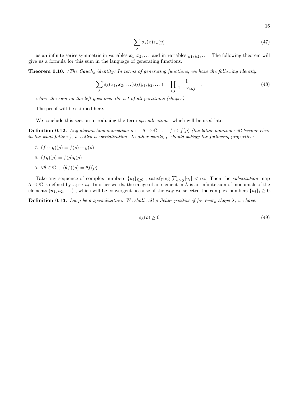$$
\sum_{\lambda} s_{\lambda}(x) s_{\lambda}(y) \tag{47}
$$

as an infinite series symmetric in variables  $x_1, x_2, \ldots$  and in variables  $y_1, y_2, \ldots$ . The following theorem will give us a formula for this sum in the language of generating functions.

**Theorem 0.10.** *(The Cauchy identity) In terms of generating functions, we have the following identity:*

$$
\sum_{\lambda} s_{\lambda}(x_1, x_2, \dots) s_{\lambda}(y_1, y_2, \dots) = \prod_{i,j} \frac{1}{1 - x_i y_j} , \qquad (48)
$$

*where the sum on the left goes over the set of all partitions (shapes).*

The proof will be skipped here.

We conclude this section introducing the term *specialization* , which will be used later.

**Definition 0.12.** *Any algebra homomorphism*  $\rho: \Lambda \to \mathbb{C}$ ,  $f \mapsto f(\rho)$  *(the latter notation will become clear in the what follows), is called a specialization. In other words, ρ should satisfy the following properties:*

*1.*  $(f+g)(\rho) = f(\rho) + g(\rho)$ *2.*  $(fg)(\rho) = f(\rho)g(\rho)$ *3.*  $∀θ ∈ ℂ$ ,  $(θf)(ρ) = θf(ρ)$ 

Take any sequence of complex numbers  $\{u_i\}_{i\geq 0}$ , satisfying  $\sum_{i\geq 0} |u_i| < \infty$ . Then the *substitution* map  $\Lambda \to \mathbb{C}$  is defined by  $x_i \mapsto u_i$ . In other words, the image of an element in  $\Lambda$  is an infinite sum of monomials of the elements  $(u_1, u_2, \ldots)$ , which will be convergent because of the way we selected the complex numbers  $\{u_i\}_i \geq 0$ .

**Definition 0.13.** *Let ρ be a specialization. We shall call ρ Schur-positive if for every shape λ, we have:*

$$
s_{\lambda}(\rho) \ge 0 \tag{49}
$$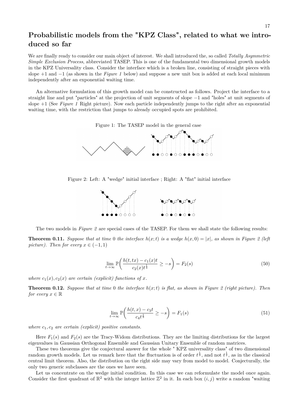# **Probabilistic models from the "KPZ Class", related to what we introduced so far**

We are finally ready to consider our main object of interest. We shall introduced the, so called *Totally Asymmetric Simple Exclusion Process*, abbreviated TASEP. This is one of the fundamental two dimensional growth models in the KPZ Universality class. Consider the interface which is a broken line, consisting of straight pieces with slope +1 and −1 (as shown in the *Figure 1* below) and suppose a new unit box is added at each local minimum independently after an exponential waiting time.

An alternative formulation of this growth model can be constructed as follows. Project the interface to a straight line and put "particles" at the projection of unit segments of slope −1 and "holes" at unit segments of slope +1 (See *Figure 1* Right picture). Now each particle independently jumps to the right after an exponential waiting time, with the restriction that jumps to already occupied spots are prohibited.

Figure 1: The TASEP model in the general case



Figure 2: Left: A "wedge" initial interface ; Right: A "flat" initial interface



The two models in *Figure 2* are special cases of the TASEP. For them we shall state the following results:

**Theorem 0.11.** Suppose that at time 0 the interface  $h(x; t)$  is a wedge  $h(x, 0) = |x|$ , as shown in Figure 2 (left *picture*). Then for every  $x \in (-1, 1)$ 

$$
\lim_{t \to \infty} \mathbb{P}\left(\frac{h(t, tx) - c_1(x)t}{c_2(x)t^{\frac{1}{3}}} \ge -s\right) = F_2(s)
$$
\n
$$
(50)
$$

*where*  $c_1(x)$ ,  $c_2(x)$  *are certain (explicit) functions of x.* 

**Theorem 0.12.** *Suppose that at time* 0 *the interface*  $h(x;t)$  *is flat, as shown in Figure 2 (right picture). Then for every*  $x \in \mathbb{R}$ 

$$
\lim_{t \to \infty} \mathbb{P}\left(\frac{h(t,x) - c_3 t}{c_4 t^{\frac{1}{3}}} \ge -s\right) = F_1(s) \tag{51}
$$

*where c*1*, c*<sup>2</sup> *are certain (explicit) positive constants.*

Here  $F_1(s)$  and  $F_2(s)$  are the Tracy-Widom distributions. They are the limiting distributions for the largest eigenvalues in Gaussian Orthogonal Ensemble and Gaussian Unitary Ensemble of random matrices.

These two theorems give the conjectural answer for the whole " KPZ universality class" of two dimensional random growth models. Let us remark here that the fluctuation is of order  $t^{\frac{1}{3}}$ , and not  $t^{\frac{1}{2}}$ , as in the classical central limit theorem. Also, the distribution on the right side may vary from model to model. Conjecturally, the only two generic subclasses are the ones we have seen.

Let us concentrate on the wedge initial condition. In this case we can reformulate the model once again. Consider the first quadrant of  $\mathbb{R}^2$  with the integer lattice  $\mathbb{Z}^2$  in it. In each box  $(i, j)$  write a random "waiting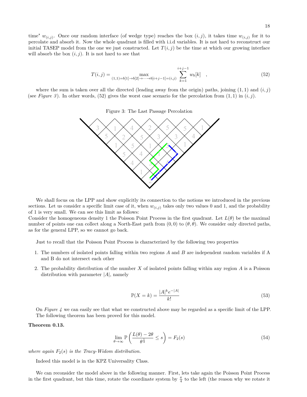time"  $w_{(i,j)}$ . Once our random interface (of wedge type) reaches the box  $(i,j)$ , it takes time  $w_{(i,j)}$  for it to percolate and absorb it. Now the whole quadrant is filled with i.i.d variables. It is not hard to reconstruct our initial TASEP model from the one we just constructed. Let  $T(i, j)$  be the time at which our growing interface will absorb the box  $(i, j)$ . It is not hard to see that

$$
T(i,j) = \max_{(1,1)=b[1]\to b[2]\to\cdots\to b[i+j-1]=(i,j)} \sum_{k=1}^{i+j-1} w_b[k] , \qquad (52)
$$

where the sum is taken over all the directed (leading away from the origin) paths, joining  $(1,1)$  and  $(i, j)$ (see *Figure 3*). In other words, (52) gives the worst case scenario for the percolation from  $(1,1)$  in  $(i,j)$ .

Figure 3: The Last Passage Percolation



We shall focus on the LPP and show explicitly its connection to the notions we introduced in the previous sections. Let us consider a specific limit case of it, when  $w_{(i,j)}$  takes only two values 0 and 1, and the probability of 1 is very small. We can see this limit as follows:

Consider the homogeneous density 1 the Poisson Point Process in the first quadrant. Let  $L(\theta)$  be the maximal number of points one can collect along a North-East path from  $(0,0)$  to  $(\theta,\theta)$ . We consider only directed paths, as for the general LPP, so we cannot go back.

Just to recall that the Poisson Point Process is characterized by the following two properties

- 1. The numbers of isolated points falling within two regions *A* and *B* are independent random variables if A and B do not intersect each other
- 2. The probability distribution of the number *X* of isolated points falling within any region *A* is a Poisson distribution with parameter |*A*|, namely

$$
\mathbb{P}(X=k) = \frac{|A|^k e^{-|A|}}{k!}
$$
\n(53)

On *Figure 4* we can easily see that what we constructed above may be regarded as a specific limit of the LPP. The following theorem has been proved for this model.

**Theorem 0.13.**

$$
\lim_{\theta \to \infty} \mathbb{P}\left(\frac{L(\theta) - 2\theta}{\theta^{\frac{1}{3}}} \le s\right) = F_2(s) \tag{54}
$$

*where again*  $F_2(s)$  *is the Tracy-Widom distribution.* 

Indeed this model is in the KPZ Universality Class.

We can reconsider the model above in the following manner. First, lets take again the Poisson Point Process in the first quadrant, but this time, rotate the coordinate system by  $\frac{\pi}{4}$  to the left (the reason why we rotate it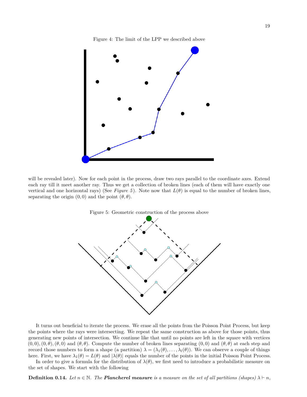Figure 4: The limit of the LPP we described above



will be revealed later). Now for each point in the process, draw two rays parallel to the coordinate axes. Extend each ray till it meet another ray. Thus we get a collection of broken lines (each of them will have exactly one vertical and one horizontal rays) (See *Figure 5*). Note now that  $L(\theta)$  is equal to the number of broken lines, separating the origin  $(0,0)$  and the point  $(\theta, \theta)$ .





It turns out beneficial to iterate the process. We erase all the points from the Poisson Point Process, but keep the points where the rays were intersecting. We repeat the same construction as above for those points, thus generating new points of intersection. We continue like that until no points are left in the square with vertices  $(0,0), (0,\theta), (\theta,0)$  and  $(\theta,\theta)$ . Compute the number of broken lines separating  $(0,0)$  and  $(\theta,\theta)$  at each step and record those numbers to form a shape (a partition)  $\lambda = (\lambda_1(\theta), \dots, \lambda_l(\theta))$ . We can observe a couple of things here. First, we have  $\lambda_1(\theta) = L(\theta)$  and  $|\lambda(\theta)|$  equals the number of the points in the initial Poisson Point Process. In order to give a formula for the distribution of  $\lambda(\theta)$ , we first need to introduce a probabilistic measure on

the set of shapes. We start with the following

**Definition 0.14.** *Let*  $n \in \mathbb{N}$ *. The Plancherel measure is a measure on the set of all partitions (shapes)*  $\lambda \vdash n$ ,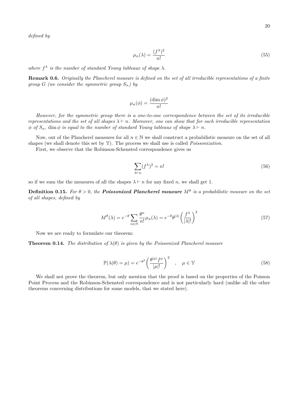*defined by*

$$
\mu_n(\lambda) = \frac{(f^{\lambda})^2}{n!} \tag{55}
$$

where  $f^{\lambda}$  is the number of standard Young tableaux of shape  $\lambda$ .

**Remark 0.6.** *Originally the Plancherel measure is defined on the set of all irreducible representations of a finite group G* (we consider the symmetric group  $S_n$ ) by

$$
\mu_n(\phi) = \frac{(\dim \phi)^2}{n!}
$$

*However, for the symmetric group there is a one-to-one correspondence between the set of its irreducible representations and the set of all shapes*  $\lambda \vdash n$ *. Moreover, one can show that for each irreducible representation*  $\phi$  *of*  $S_n$ , dim  $\phi$  *is equal to the number of standard Young tableaux of shape*  $\lambda \vdash n$ .

Now, out of the Plancherel measures for all  $n \in \mathbb{N}$  we shall construct a probabilistic measure on the set of all shapes (we shall denote this set by Y). The process we shall use is called *Poissonization*.

First, we observe that the Robinson-Schensted correspondence gives us

$$
\sum_{\lambda \vdash n} (f^{\lambda})^2 = n! \tag{56}
$$

so if we sum the the measures of all the shapes  $\lambda \vdash n$  for any fixed *n*, we shall get 1.

**Definition 0.15.** For  $\theta > 0$ , the **Poissonized Plancherel measure**  $M^{\theta}$  is a probabilistic measure on the set *of all shapes, defined by*

$$
M^{\theta}(\lambda) = e^{-\theta} \sum_{n \in \mathbb{N}} \frac{\theta^n}{n!} \mu_n(\lambda) = e^{-\theta} \theta^{|\lambda|} \left(\frac{f^{\lambda}}{|\lambda|!}\right)^2 \tag{57}
$$

Now we are ready to formulate our theorem:

**Theorem 0.14.** *The distribution of λ*(*θ*) *is given by the Poissonized Plancherel measure*

$$
\mathbb{P}(\lambda(\theta) = \mu) = e^{-\theta^2} \left(\frac{\theta^{|\mu|} f^{\mu}}{|\mu|!}\right)^2 \quad , \quad \mu \in \mathbb{Y}
$$
\n(58)

We shall not prove the theorem, but only mention that the proof is based on the properties of the Poisson Point Process and the Robinson-Schensted correspondence and is not particularly hard (unlike all the other theorems concerning distributions for some models, that we stated here).